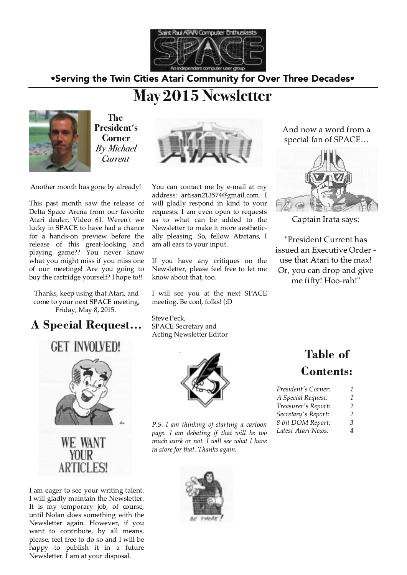

•Serving the Twin Cities Atari Community for Over Three Decades•

# May 2015 Newsletter



The President's **Corner By Michael** Current



Another month has gone by already!

This past month saw the release of Delta Space Arena from our favorite Atari dealer, Video 61. Weren't we lucky in SPACE to have had a chance for a hands-on preview before the release of this great-looking and<br>playing game?? You never know what you might miss if you miss one of our meetings! Are you going to buy the cartridge yourself? I hope to!!

Thanks, keep using that Atari, and come to your next SPACE meeting, Friday, May 8, 2015.

### **A Special Request...**



I am eager to see your writing talent. I will gladly maintain the Newsletter. It is my temporary job, of course, until Nolan does something with the Newsletter again. However, if you want to contribute, by all means, please, feel free to do so and I will be happy to publish it in a future Newsletter. I am at your disposal.

You can contact me by e-mail at my address: artisan213574@gmail.com. I will gladly respond in kind to your requests. I am even open to requests as to what can be added to the Newsletter to make it more aesthetically pleasing. So, fellow Atarians, I am all ears to your input.

If you have any critiques on the Newsletter, please feel free to let me know about that, too.

I will see you at the next SPACE meeting. Be cool, folks! (:D

Steve Peck, **SPACE Secretary and Acting Newsletter Editor** 



P.S. I am thinking of starting a cartoon page. I am debating if that will be too much work or not. I will see what I have in store for that. Thanks again.



And now a word from a special fan of SPACE...



Captain Irata says:

"President Current has issued an Executive Order use that Atari to the max! Or, you can drop and give me fifty! Hoo-rah!"

## **Table of Contents:**

| President's Corner:       | 7 |
|---------------------------|---|
| <b>4 Special Request:</b> | 7 |
| Treasurer's Report:       | 2 |
| Secretary's Report:       | 2 |
| 3-bit DOM Report:         | 3 |

Latest Atari News:  $\overline{\mathcal{A}}$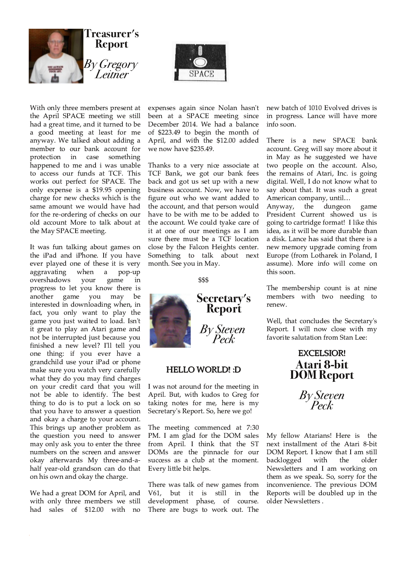



With only three members present at the April SPACE meeting we still had a great time, and it turned to be a good meeting at least for me anyway. We talked about adding a member to our bank account for protection in case something happened to me and i was unable to access our funds at TCF. This works out perfect for SPACE. The only expense is a \$19.95 opening charge for new checks which is the same amount we would have had for the re-ordering of checks on our old account More to talk about at the May SPACE meeting.

It was fun talking about games on the iPad and iPhone. If you have ever played one of these it is very aggravating when a pop-up overshadows your game in progress to let you know there is another game you may be interested in downloading when, in fact, you only want to play the game you just waited to load. Isn't it great to play an Atari game and not be interrupted just because you finished a new level? I'll tell you one thing: if you ever have a grandchild use your iPad or phone make sure you watch very carefully what they do you may find charges on your credit card that you will not be able to identify. The best thing to do is to put a lock on so that you have to answer a question and okay a charge to your account. This brings up another problem as the question you need to answer may only ask you to enter the three numbers on the screen and answer okay afterwards My three-and-ahalf year-old grandson can do that on his own and okay the charge.

We had a great DOM for April, and with only three members we still had sales of \$12.00 with no expenses again since Nolan hasn't been at a SPACE meeting since December 2014. We had a balance of \$223.49 to begin the month of April, and with the \$12.00 added we now have \$235.49.

Thanks to a very nice associate at TCF Bank, we got our bank fees back and got us set up with a new business account. Now, we have to figure out who we want added to the account, and that person would have to be with me to be added to the account. We could tyake care of it at one of our meetings as I am sure there must be a TCF location close by the Falcon Heights center. Something to talk about next month. See you in May.

\$\$\$



#### **HELLO WORLD!: D**

I was not around for the meeting in April. But, with kudos to Greg for taking notes for me, here is my Secretary's Report. So, here we go!

The meeting commenced at 7:30 PM. I am glad for the DOM sales from April. I think that the ST DOMs are the pinnacle for our success as a club at the moment. Every little bit helps.

There was talk of new games from V61, but it is still in the development phase, of course. There are bugs to work out. The new batch of 1010 Evolved drives is in progress. Lance will have more info soon.

There is a new SPACE bank account. Greg will say more about it in May as he suggested we have two people on the account. Also, the remains of Atari, Inc. is going digital. Well, I do not know what to say about that. It was such a great American company, until...

the dungeon Anvway, game President Current showed us is going to cartridge format! I like this idea, as it will be more durable than a disk. Lance has said that there is a new memory upgrade coming from Europe (from Lotharek in Poland, I assume). More info will come on this soon.

The membership count is at nine members with two needing to renew.

Well, that concludes the Secretary's Report. I will now close with my favorite salutation from Stan Lee:

# **EXCELSIOR! Atari 8-bit<br>DOM Report**

By Steven

My fellow Atarians! Here is the next installment of the Atari 8-bit DOM Report. I know that I am still backlogged with the older Newsletters and I am working on them as we speak. So, sorry for the inconvenience. The previous DOM Reports will be doubled up in the older Newsletters.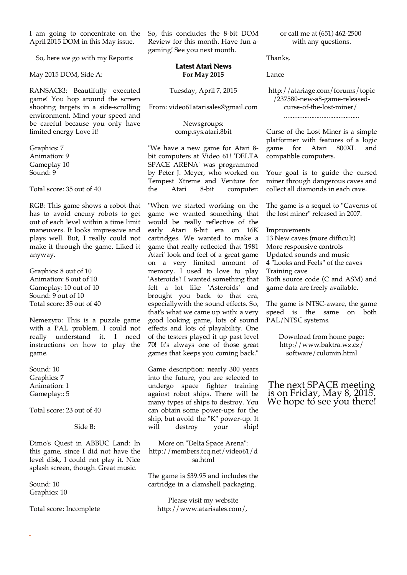I am going to concentrate on the April 2015 DOM in this May issue.

So, here we go with my Reports:

May 2015 DOM, Side A:

RANSACK!: Beautifully executed game! You hop around the screen shooting targets in a side-scrolling environment. Mind your speed and be careful because you only have limited energy Love it!

Graphics: 7 Animation: 9 Gameplay 10 Sound: 9

Total score: 35 out of 40

RGB: This game shows a robot-that has to avoid enemy robots to get out of each level within a time limit maneuvers. It looks impressive and plays well. But, I really could not make it through the game. Liked it anyway.

Graphics: 8 out of 10 Animation: 8 out of 10 Gameplay: 10 out of 10 Sound: 9 out of 10 Total score: 35 out of 40

Nemezyro: This is a puzzle game with a PAL problem. I could not really understand it. I need instructions on how to play the game.

Sound: 10 Graphics: 7 Animation: 1 Gameplay:: 5

Total score: 23 out of 40

Side B:

Dimo's Quest in ABBUC Land: In this game, since I did not have the level disk, I could not play it. Nice splash screen, though. Great music.

Sound: 10 Graphics: 10

Total score: Incomplete

So, this concludes the 8-bit DOM Review for this month. Have fun agaming! See you next month.

#### **Latest Atari News For May 2015**

Tuesday, April 7, 2015

From: video61atarisales@gmail.com

Newsgroups: comp.sys.atari.8bit

"We have a new game for Atari 8bit computers at Video 61! 'DELTA SPACE ARENA' was programmed by Peter J. Meyer, who worked on Tempest Xtreme and Venture for the Atari 8-bit computer:

"When we started working on the game we wanted something that would be really reflective of the early Atari 8-bit era on 16K cartridges. We wanted to make a game that really reflected that '1981 Atari' look and feel of a great game on a very limited amount of memory. I used to love to play 'Asteroids'! I wanted something that felt a lot like 'Asteroids' and brought you back to that era, especially with the sound effects. So, that's what we came up with: a very good looking game, lots of sound effects and lots of playability. One of the testers played it up past level 70! It's always one of those great games that keeps you coming back."

Game description: nearly 300 years into the future, you are selected to undergo space fighter training against robot ships. There will be many types of ships to destroy. You can obtain some power-ups for the ship, but avoid the "K" power-up. It will destroy your ship!

More on "Delta Space Arena": http://members.tcq.net/video61/d sa.html

The game is \$39.95 and includes the cartridge in a clamshell packaging.

Please visit my website http://www.atarisales.com/, or call me at (651) 462-2500 with any questions.

Thanks.

Lance

http://atariage.com/forums/topic /237580-new-a8-game-releasedcurse-of-the-lost-miner/ 

Curse of the Lost Miner is a simple platformer with features of a logic game for Atari **800XL** and compatible computers.

Your goal is to guide the cursed miner through dangerous caves and collect all diamonds in each cave.

The game is a sequel to "Caverns of the lost miner" released in 2007.

Improvements 13 New caves (more difficult) More responsive controls Updated sounds and music 4 "Looks and Feels" of the caves Training cave Both source code (C and ASM) and game data are freely available.

The game is NTSC-aware, the game speed is the same on both PAL/NTSC systems.

> Download from home page: http://www.baktra.wz.cz/ software/culomin.html

The next SPACE meeting is on Friday, May 8, 2015. We hope to see you there!